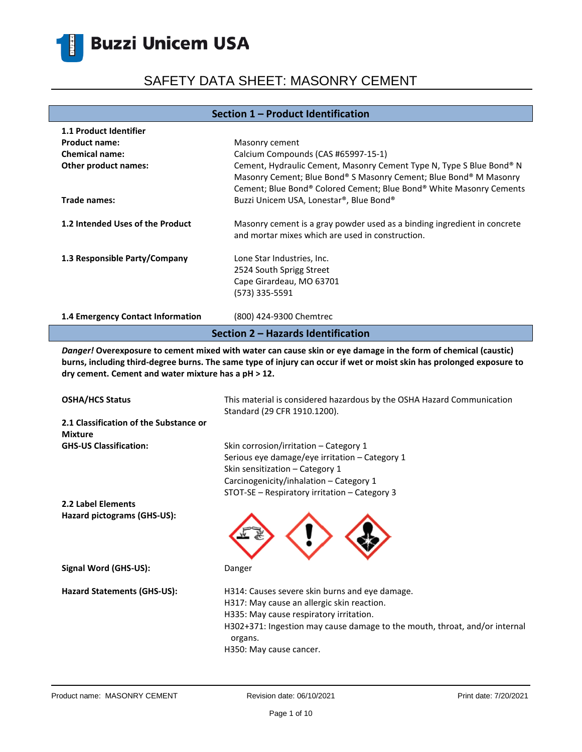# SAFETY DATA SHEET: MASONRY CEMENT

### **Section 1 – Product Identification**

| <b>1.1 Product Identifier</b>      |                                                                                                                                                                                                                  |  |
|------------------------------------|------------------------------------------------------------------------------------------------------------------------------------------------------------------------------------------------------------------|--|
| <b>Product name:</b>               | Masonry cement                                                                                                                                                                                                   |  |
| <b>Chemical name:</b>              | Calcium Compounds (CAS #65997-15-1)                                                                                                                                                                              |  |
| <b>Other product names:</b>        | Cement, Hydraulic Cement, Masonry Cement Type N, Type S Blue Bond® N<br>Masonry Cement; Blue Bond® S Masonry Cement; Blue Bond® M Masonry<br>Cement; Blue Bond® Colored Cement; Blue Bond® White Masonry Cements |  |
| Trade names:                       | Buzzi Unicem USA, Lonestar®, Blue Bond®                                                                                                                                                                          |  |
| 1.2 Intended Uses of the Product   | Masonry cement is a gray powder used as a binding ingredient in concrete<br>and mortar mixes which are used in construction.                                                                                     |  |
| 1.3 Responsible Party/Company      | Lone Star Industries, Inc.<br>2524 South Sprigg Street<br>Cape Girardeau, MO 63701<br>(573) 335-5591                                                                                                             |  |
| 1.4 Emergency Contact Information  | (800) 424-9300 Chemtrec                                                                                                                                                                                          |  |
| Section 2 - Hazards Identification |                                                                                                                                                                                                                  |  |

*Danger!* **Overexposure to cement mixed with water can cause skin or eye damage in the form of chemical (caustic) burns, including third-degree burns. The same type of injury can occur if wet or moist skin has prolonged exposure to dry cement. Cement and water mixture has a pH ˃ 12.**

| <b>OSHA/HCS Status</b>                                   | This material is considered hazardous by the OSHA Hazard Communication<br>Standard (29 CFR 1910.1200).                                                                                                                                                      |
|----------------------------------------------------------|-------------------------------------------------------------------------------------------------------------------------------------------------------------------------------------------------------------------------------------------------------------|
| 2.1 Classification of the Substance or<br><b>Mixture</b> |                                                                                                                                                                                                                                                             |
| <b>GHS-US Classification:</b>                            | Skin corrosion/irritation – Category 1<br>Serious eye damage/eye irritation - Category 1<br>Skin sensitization - Category 1<br>Carcinogenicity/inhalation - Category 1<br>STOT-SE - Respiratory irritation - Category 3                                     |
| 2.2 Label Elements                                       |                                                                                                                                                                                                                                                             |
| Hazard pictograms (GHS-US):                              |                                                                                                                                                                                                                                                             |
| Signal Word (GHS-US):                                    | Danger                                                                                                                                                                                                                                                      |
| Hazard Statements (GHS-US):                              | H314: Causes severe skin burns and eye damage.<br>H317: May cause an allergic skin reaction.<br>H335: May cause respiratory irritation.<br>H302+371: Ingestion may cause damage to the mouth, throat, and/or internal<br>organs.<br>H350: May cause cancer. |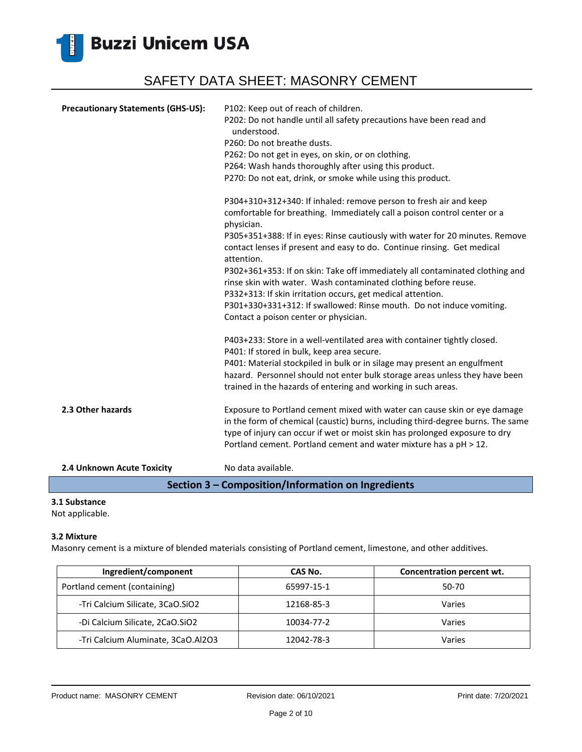

| <b>Precautionary Statements (GHS-US):</b>          | P102: Keep out of reach of children.                                                                                                                                                                           |  |
|----------------------------------------------------|----------------------------------------------------------------------------------------------------------------------------------------------------------------------------------------------------------------|--|
|                                                    | P202: Do not handle until all safety precautions have been read and<br>understood.                                                                                                                             |  |
|                                                    | P260: Do not breathe dusts.                                                                                                                                                                                    |  |
|                                                    | P262: Do not get in eyes, on skin, or on clothing.                                                                                                                                                             |  |
|                                                    | P264: Wash hands thoroughly after using this product.                                                                                                                                                          |  |
|                                                    | P270: Do not eat, drink, or smoke while using this product.                                                                                                                                                    |  |
|                                                    | P304+310+312+340: If inhaled: remove person to fresh air and keep                                                                                                                                              |  |
|                                                    | comfortable for breathing. Immediately call a poison control center or a<br>physician.                                                                                                                         |  |
|                                                    | P305+351+388: If in eyes: Rinse cautiously with water for 20 minutes. Remove<br>contact lenses if present and easy to do. Continue rinsing. Get medical<br>attention.                                          |  |
|                                                    | P302+361+353: If on skin: Take off immediately all contaminated clothing and<br>rinse skin with water. Wash contaminated clothing before reuse.<br>P332+313: If skin irritation occurs, get medical attention. |  |
|                                                    | P301+330+331+312: If swallowed: Rinse mouth. Do not induce vomiting.<br>Contact a poison center or physician.                                                                                                  |  |
|                                                    | P403+233: Store in a well-ventilated area with container tightly closed.<br>P401: If stored in bulk, keep area secure.                                                                                         |  |
|                                                    | P401: Material stockpiled in bulk or in silage may present an engulfment                                                                                                                                       |  |
|                                                    | hazard. Personnel should not enter bulk storage areas unless they have been                                                                                                                                    |  |
|                                                    | trained in the hazards of entering and working in such areas.                                                                                                                                                  |  |
| 2.3 Other hazards                                  | Exposure to Portland cement mixed with water can cause skin or eye damage                                                                                                                                      |  |
|                                                    | in the form of chemical (caustic) burns, including third-degree burns. The same                                                                                                                                |  |
|                                                    | type of injury can occur if wet or moist skin has prolonged exposure to dry<br>Portland cement. Portland cement and water mixture has a pH > 12.                                                               |  |
| 2.4 Unknown Acute Toxicity                         | No data available.                                                                                                                                                                                             |  |
| Section 3 - Composition/Information on Ingredients |                                                                                                                                                                                                                |  |

### **3.1 Substance**

Not applicable.

#### **3.2 Mixture**

Masonry cement is a mixture of blended materials consisting of Portland cement, limestone, and other additives.

| Ingredient/component               | CAS No.    | Concentration percent wt. |
|------------------------------------|------------|---------------------------|
| Portland cement (containing)       | 65997-15-1 | 50-70                     |
| -Tri Calcium Silicate, 3CaO.SiO2   | 12168-85-3 | Varies                    |
| -Di Calcium Silicate, 2CaO.SiO2    | 10034-77-2 | Varies                    |
| -Tri Calcium Aluminate, 3CaO.Al2O3 | 12042-78-3 | Varies                    |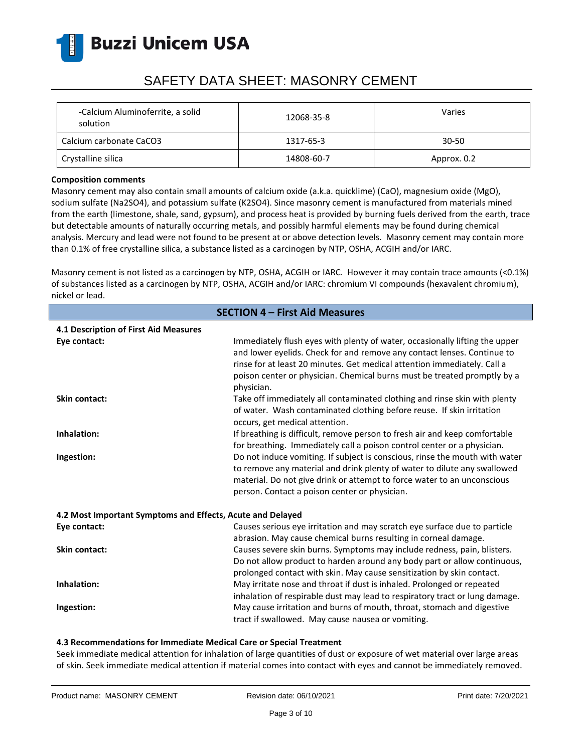

## SAFETY DATA SHEET: MASONRY CEMENT

| -Calcium Aluminoferrite, a solid<br>solution | 12068-35-8 | Varies      |
|----------------------------------------------|------------|-------------|
| Calcium carbonate CaCO3                      | 1317-65-3  | 30-50       |
| Crystalline silica                           | 14808-60-7 | Approx. 0.2 |

#### **Composition comments**

Masonry cement may also contain small amounts of calcium oxide (a.k.a. quicklime) (CaO), magnesium oxide (MgO), sodium sulfate (Na2SO4), and potassium sulfate (K2SO4). Since masonry cement is manufactured from materials mined from the earth (limestone, shale, sand, gypsum), and process heat is provided by burning fuels derived from the earth, trace but detectable amounts of naturally occurring metals, and possibly harmful elements may be found during chemical analysis. Mercury and lead were not found to be present at or above detection levels. Masonry cement may contain more than 0.1% of free crystalline silica, a substance listed as a carcinogen by NTP, OSHA, ACGIH and/or IARC.

Masonry cement is not listed as a carcinogen by NTP, OSHA, ACGIH or IARC. However it may contain trace amounts (<0.1%) of substances listed as a carcinogen by NTP, OSHA, ACGIH and/or IARC: chromium VI compounds (hexavalent chromium), nickel or lead.

| <b>SECTION 4 - First Aid Measures</b>                      |                                                                                                                                                                                                                                                                                                                              |  |  |  |
|------------------------------------------------------------|------------------------------------------------------------------------------------------------------------------------------------------------------------------------------------------------------------------------------------------------------------------------------------------------------------------------------|--|--|--|
| 4.1 Description of First Aid Measures                      |                                                                                                                                                                                                                                                                                                                              |  |  |  |
| Eye contact:                                               | Immediately flush eyes with plenty of water, occasionally lifting the upper<br>and lower eyelids. Check for and remove any contact lenses. Continue to<br>rinse for at least 20 minutes. Get medical attention immediately. Call a<br>poison center or physician. Chemical burns must be treated promptly by a<br>physician. |  |  |  |
| <b>Skin contact:</b>                                       | Take off immediately all contaminated clothing and rinse skin with plenty<br>of water. Wash contaminated clothing before reuse. If skin irritation<br>occurs, get medical attention.                                                                                                                                         |  |  |  |
| Inhalation:                                                | If breathing is difficult, remove person to fresh air and keep comfortable<br>for breathing. Immediately call a poison control center or a physician.                                                                                                                                                                        |  |  |  |
| Ingestion:                                                 | Do not induce vomiting. If subject is conscious, rinse the mouth with water<br>to remove any material and drink plenty of water to dilute any swallowed<br>material. Do not give drink or attempt to force water to an unconscious<br>person. Contact a poison center or physician.                                          |  |  |  |
| 4.2 Most Important Symptoms and Effects, Acute and Delayed |                                                                                                                                                                                                                                                                                                                              |  |  |  |
| Eye contact:                                               | Causes serious eye irritation and may scratch eye surface due to particle<br>abrasion. May cause chemical burns resulting in corneal damage.                                                                                                                                                                                 |  |  |  |
| <b>Skin contact:</b>                                       | Causes severe skin burns. Symptoms may include redness, pain, blisters.<br>Do not allow product to harden around any body part or allow continuous,<br>prolonged contact with skin. May cause sensitization by skin contact.                                                                                                 |  |  |  |
| Inhalation:                                                | May irritate nose and throat if dust is inhaled. Prolonged or repeated<br>inhalation of respirable dust may lead to respiratory tract or lung damage.                                                                                                                                                                        |  |  |  |
| Ingestion:                                                 | May cause irritation and burns of mouth, throat, stomach and digestive<br>tract if swallowed. May cause nausea or vomiting.                                                                                                                                                                                                  |  |  |  |

#### **4.3 Recommendations for Immediate Medical Care or Special Treatment**

Seek immediate medical attention for inhalation of large quantities of dust or exposure of wet material over large areas of skin. Seek immediate medical attention if material comes into contact with eyes and cannot be immediately removed.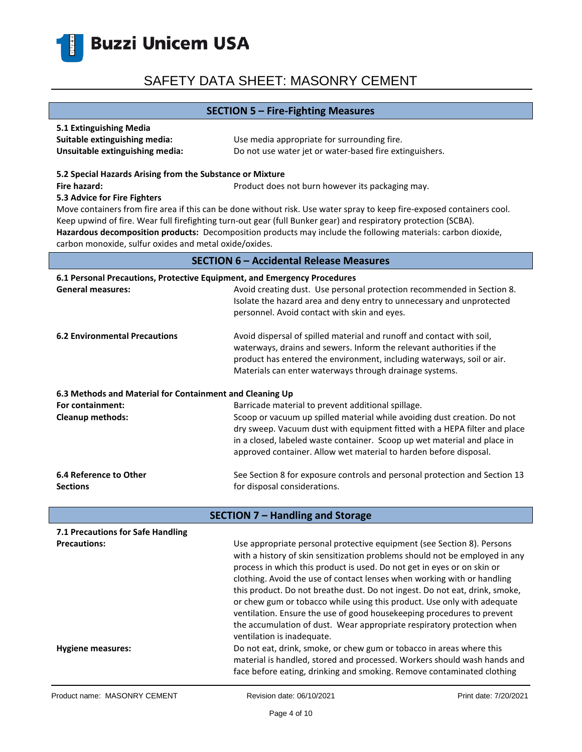

### **SECTION 5 – Fire-Fighting Measures**

| 5.1 Extinguishing Media         |                                                         |
|---------------------------------|---------------------------------------------------------|
| Suitable extinguishing media:   | Use media appropriate for surrounding fire.             |
| Unsuitable extinguishing media: | Do not use water jet or water-based fire extinguishers. |

#### **5.2 Special Hazards Arising from the Substance or Mixture**

**Fire hazard: Product does not burn however its packaging may.** Product does not burn however its packaging may.

#### **5.3 Advice for Fire Fighters**

Move containers from fire area if this can be done without risk. Use water spray to keep fire-exposed containers cool. Keep upwind of fire. Wear full firefighting turn-out gear (full Bunker gear) and respiratory protection (SCBA). **Hazardous decomposition products:** Decomposition products may include the following materials: carbon dioxide, carbon monoxide, sulfur oxides and metal oxide/oxides.

### **SECTION 6 – Accidental Release Measures**

| 6.1 Personal Precautions, Protective Equipment, and Emergency Procedures<br><b>General measures:</b><br>Avoid creating dust. Use personal protection recommended in Section 8. |                                                                                                                                                                                                                                                                                                                                                                                                                                                                       |  |  |
|--------------------------------------------------------------------------------------------------------------------------------------------------------------------------------|-----------------------------------------------------------------------------------------------------------------------------------------------------------------------------------------------------------------------------------------------------------------------------------------------------------------------------------------------------------------------------------------------------------------------------------------------------------------------|--|--|
|                                                                                                                                                                                | Isolate the hazard area and deny entry to unnecessary and unprotected<br>personnel. Avoid contact with skin and eyes.                                                                                                                                                                                                                                                                                                                                                 |  |  |
| <b>6.2 Environmental Precautions</b>                                                                                                                                           | Avoid dispersal of spilled material and runoff and contact with soil,<br>waterways, drains and sewers. Inform the relevant authorities if the<br>product has entered the environment, including waterways, soil or air.<br>Materials can enter waterways through drainage systems.                                                                                                                                                                                    |  |  |
| 6.3 Methods and Material for Containment and Cleaning Up                                                                                                                       |                                                                                                                                                                                                                                                                                                                                                                                                                                                                       |  |  |
| For containment:                                                                                                                                                               | Barricade material to prevent additional spillage.                                                                                                                                                                                                                                                                                                                                                                                                                    |  |  |
| Cleanup methods:                                                                                                                                                               | Scoop or vacuum up spilled material while avoiding dust creation. Do not<br>dry sweep. Vacuum dust with equipment fitted with a HEPA filter and place<br>in a closed, labeled waste container. Scoop up wet material and place in<br>approved container. Allow wet material to harden before disposal.                                                                                                                                                                |  |  |
|                                                                                                                                                                                |                                                                                                                                                                                                                                                                                                                                                                                                                                                                       |  |  |
| 6.4 Reference to Other<br><b>Sections</b>                                                                                                                                      | See Section 8 for exposure controls and personal protection and Section 13<br>for disposal considerations.                                                                                                                                                                                                                                                                                                                                                            |  |  |
|                                                                                                                                                                                |                                                                                                                                                                                                                                                                                                                                                                                                                                                                       |  |  |
| <b>SECTION 7 - Handling and Storage</b>                                                                                                                                        |                                                                                                                                                                                                                                                                                                                                                                                                                                                                       |  |  |
| 7.1 Precautions for Safe Handling                                                                                                                                              |                                                                                                                                                                                                                                                                                                                                                                                                                                                                       |  |  |
| <b>Precautions:</b>                                                                                                                                                            | Use appropriate personal protective equipment (see Section 8). Persons<br>with a history of skin sensitization problems should not be employed in any<br>process in which this product is used. Do not get in eyes or on skin or<br>clothing. Avoid the use of contact lenses when working with or handling<br>this product. Do not breathe dust. Do not ingest. Do not eat, drink, smoke,<br>or chew gum or tobacco while using this product. Use only with adequate |  |  |

**Hygiene measures:** Do not eat, drink, smoke, or chew gum or tobacco in areas where this

ventilation is inadequate.

ventilation. Ensure the use of good housekeeping procedures to prevent the accumulation of dust. Wear appropriate respiratory protection when

material is handled, stored and processed. Workers should wash hands and face before eating, drinking and smoking. Remove contaminated clothing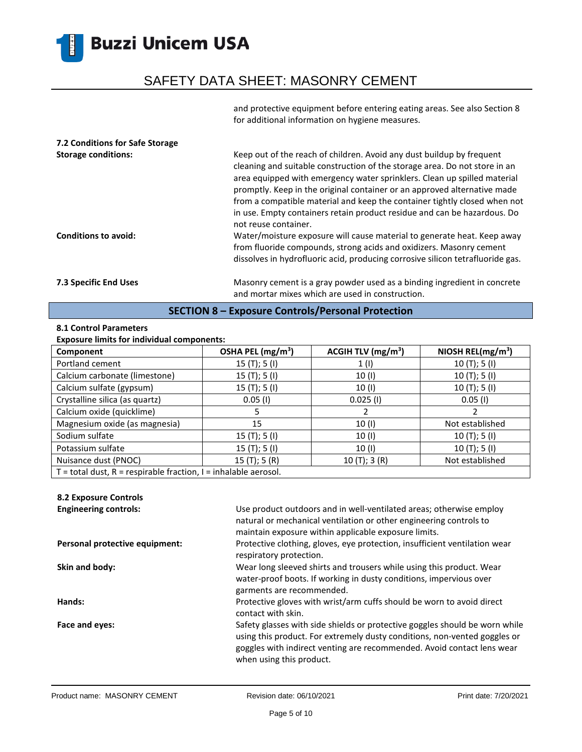## SAFETY DATA SHEET: MASONRY CEMENT

and protective equipment before entering eating areas. See also Section 8 for additional information on hygiene measures.

| 7.2 Conditions for Safe Storage<br><b>Storage conditions:</b><br>Conditions to avoid: | Keep out of the reach of children. Avoid any dust buildup by frequent<br>cleaning and suitable construction of the storage area. Do not store in an<br>area equipped with emergency water sprinklers. Clean up spilled material<br>promptly. Keep in the original container or an approved alternative made<br>from a compatible material and keep the container tightly closed when not<br>in use. Empty containers retain product residue and can be hazardous. Do<br>not reuse container.<br>Water/moisture exposure will cause material to generate heat. Keep away |
|---------------------------------------------------------------------------------------|-------------------------------------------------------------------------------------------------------------------------------------------------------------------------------------------------------------------------------------------------------------------------------------------------------------------------------------------------------------------------------------------------------------------------------------------------------------------------------------------------------------------------------------------------------------------------|
|                                                                                       | from fluoride compounds, strong acids and oxidizers. Masonry cement<br>dissolves in hydrofluoric acid, producing corrosive silicon tetrafluoride gas.                                                                                                                                                                                                                                                                                                                                                                                                                   |
| 7.3 Specific End Uses                                                                 | Masonry cement is a gray powder used as a binding ingredient in concrete<br>and mortar mixes which are used in construction.                                                                                                                                                                                                                                                                                                                                                                                                                                            |

### **SECTION 8 – Exposure Controls/Personal Protection**

### **8.1 Control Parameters**

#### **Exposure limits for individual components:**

| Component                                                             | OSHA PEL (mg/m <sup>3</sup> ) | ACGIH TLV $(mg/m3)$ | NIOSH REL( $mg/m3$ ) |
|-----------------------------------------------------------------------|-------------------------------|---------------------|----------------------|
| Portland cement                                                       | 15 $(T);$ 5 $(I)$             | 1(1)                | 10(T); 5(I)          |
| Calcium carbonate (limestone)                                         | 15 $(T);$ 5 $(I)$             | 10(1)               | 10(T); 5(I)          |
| Calcium sulfate (gypsum)                                              | 15 $(T);$ 5 $(I)$             | 10 (I)              | 10(T); 5(I)          |
| Crystalline silica (as quartz)                                        | $0.05$ (I)                    | $0.025$ (I)         | $0.05$ (I)           |
| Calcium oxide (quicklime)                                             |                               |                     |                      |
| Magnesium oxide (as magnesia)                                         | 15                            | 10(1)               | Not established      |
| Sodium sulfate                                                        | 15(T); 5(I)                   | 10(1)               | 10(T); 5(I)          |
| Potassium sulfate                                                     | 15(T); 5(I)                   | 10 (I)              | 10(T); 5(I)          |
| Nuisance dust (PNOC)                                                  | 15(T); 5(R)                   | 10(T); 3(R)         | Not established      |
| $T =$ total dust, $R =$ respirable fraction, $I =$ inhalable aerosol. |                               |                     |                      |

### **8.2 Exposure Controls**

**Engineering controls:** Use product outdoors and in well-ventilated areas; otherwise employ natural or mechanical ventilation or other engineering controls to maintain exposure within applicable exposure limits. **Personal protective equipment:** Protective clothing, gloves, eye protection, insufficient ventilation wear respiratory protection. **Skin and body:** Wear long sleeved shirts and trousers while using this product. Wear water-proof boots. If working in dusty conditions, impervious over garments are recommended. **Hands:** Protective gloves with wrist/arm cuffs should be worn to avoid direct contact with skin. Face and eyes: **Safety glasses with side shields or protective goggles should be worn while** worn while using this product. For extremely dusty conditions, non-vented goggles or goggles with indirect venting are recommended. Avoid contact lens wear when using this product.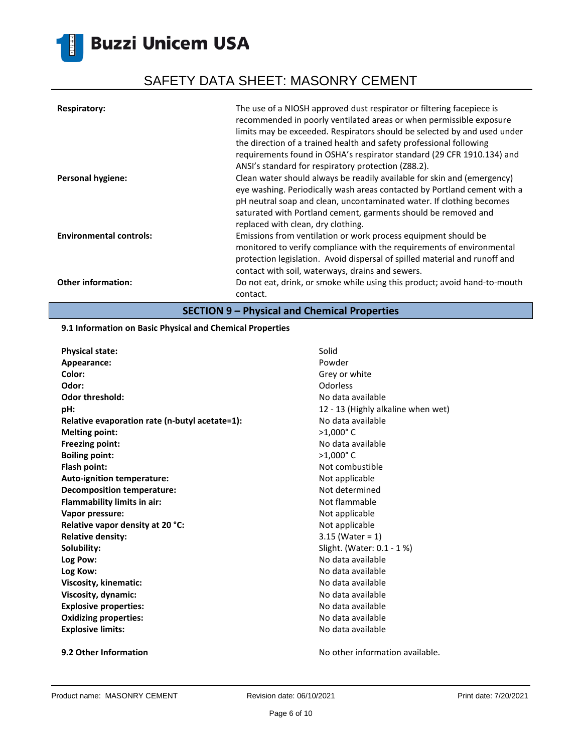## SAFETY DATA SHEET: MASONRY CEMENT

| <b>Respiratory:</b>            | The use of a NIOSH approved dust respirator or filtering facepiece is<br>recommended in poorly ventilated areas or when permissible exposure<br>limits may be exceeded. Respirators should be selected by and used under<br>the direction of a trained health and safety professional following<br>requirements found in OSHA's respirator standard (29 CFR 1910.134) and<br>ANSI's standard for respiratory protection (Z88.2). |
|--------------------------------|----------------------------------------------------------------------------------------------------------------------------------------------------------------------------------------------------------------------------------------------------------------------------------------------------------------------------------------------------------------------------------------------------------------------------------|
| <b>Personal hygiene:</b>       | Clean water should always be readily available for skin and (emergency)<br>eye washing. Periodically wash areas contacted by Portland cement with a<br>pH neutral soap and clean, uncontaminated water. If clothing becomes<br>saturated with Portland cement, garments should be removed and<br>replaced with clean, dry clothing.                                                                                              |
| <b>Environmental controls:</b> | Emissions from ventilation or work process equipment should be<br>monitored to verify compliance with the requirements of environmental<br>protection legislation. Avoid dispersal of spilled material and runoff and<br>contact with soil, waterways, drains and sewers.                                                                                                                                                        |
| <b>Other information:</b>      | Do not eat, drink, or smoke while using this product; avoid hand-to-mouth<br>contact.                                                                                                                                                                                                                                                                                                                                            |

**SECTION 9 – Physical and Chemical Properties**

### **9.1 Information on Basic Physical and Chemical Properties**

| <b>Physical state:</b>                         | Solid                              |
|------------------------------------------------|------------------------------------|
| Appearance:                                    | Powder                             |
| Color:                                         | Grey or white                      |
| Odor:                                          | Odorless                           |
| Odor threshold:                                | No data available                  |
| pH:                                            | 12 - 13 (Highly alkaline when wet) |
| Relative evaporation rate (n-butyl acetate=1): | No data available                  |
| <b>Melting point:</b>                          | $>1,000$ °C                        |
| <b>Freezing point:</b>                         | No data available                  |
| <b>Boiling point:</b>                          | $>1,000$ °C                        |
| Flash point:                                   | Not combustible                    |
| Auto-ignition temperature:                     | Not applicable                     |
| Decomposition temperature:                     | Not determined                     |
| Flammability limits in air:                    | Not flammable                      |
| Vapor pressure:                                | Not applicable                     |
| Relative vapor density at 20 °C:               | Not applicable                     |
| <b>Relative density:</b>                       | $3.15$ (Water = 1)                 |
| Solubility:                                    | Slight. (Water: 0.1 - 1 %)         |
| Log Pow:                                       | No data available                  |
| Log Kow:                                       | No data available                  |
| Viscosity, kinematic:                          | No data available                  |
| Viscosity, dynamic:                            | No data available                  |
| <b>Explosive properties:</b>                   | No data available                  |
| <b>Oxidizing properties:</b>                   | No data available                  |
| <b>Explosive limits:</b>                       | No data available                  |
|                                                |                                    |

**9.2 Other Information 19.2 Other Information 19.2 Other Information No other information available.**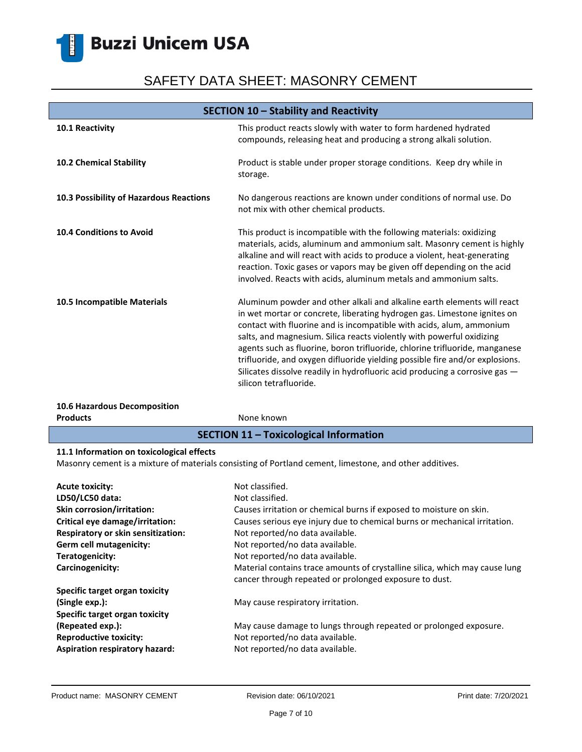H

# SAFETY DATA SHEET: MASONRY CEMENT

| SECTION 10 - Stability and Reactivity         |                                                                                                                                                                                                                                                                                                                                                                                                                                                                                                                                                                              |
|-----------------------------------------------|------------------------------------------------------------------------------------------------------------------------------------------------------------------------------------------------------------------------------------------------------------------------------------------------------------------------------------------------------------------------------------------------------------------------------------------------------------------------------------------------------------------------------------------------------------------------------|
| 10.1 Reactivity                               | This product reacts slowly with water to form hardened hydrated<br>compounds, releasing heat and producing a strong alkali solution.                                                                                                                                                                                                                                                                                                                                                                                                                                         |
| <b>10.2 Chemical Stability</b>                | Product is stable under proper storage conditions. Keep dry while in<br>storage.                                                                                                                                                                                                                                                                                                                                                                                                                                                                                             |
| 10.3 Possibility of Hazardous Reactions       | No dangerous reactions are known under conditions of normal use. Do<br>not mix with other chemical products.                                                                                                                                                                                                                                                                                                                                                                                                                                                                 |
| <b>10.4 Conditions to Avoid</b>               | This product is incompatible with the following materials: oxidizing<br>materials, acids, aluminum and ammonium salt. Masonry cement is highly<br>alkaline and will react with acids to produce a violent, heat-generating<br>reaction. Toxic gases or vapors may be given off depending on the acid<br>involved. Reacts with acids, aluminum metals and ammonium salts.                                                                                                                                                                                                     |
| 10.5 Incompatible Materials                   | Aluminum powder and other alkali and alkaline earth elements will react<br>in wet mortar or concrete, liberating hydrogen gas. Limestone ignites on<br>contact with fluorine and is incompatible with acids, alum, ammonium<br>salts, and magnesium. Silica reacts violently with powerful oxidizing<br>agents such as fluorine, boron trifluoride, chlorine trifluoride, manganese<br>trifluoride, and oxygen difluoride yielding possible fire and/or explosions.<br>Silicates dissolve readily in hydrofluoric acid producing a corrosive gas -<br>silicon tetrafluoride. |
| 10.6 Hazardous Decomposition                  |                                                                                                                                                                                                                                                                                                                                                                                                                                                                                                                                                                              |
| <b>Products</b>                               | None known                                                                                                                                                                                                                                                                                                                                                                                                                                                                                                                                                                   |
| <b>SECTION 11 - Toxicological Information</b> |                                                                                                                                                                                                                                                                                                                                                                                                                                                                                                                                                                              |
| 11.1. Information on toxicological offects    |                                                                                                                                                                                                                                                                                                                                                                                                                                                                                                                                                                              |

### **11.1 Information on toxicological effects**

Masonry cement is a mixture of materials consisting of Portland cement, limestone, and other additives.

| <b>Acute toxicity:</b>             | Not classified.                                                                                                                       |
|------------------------------------|---------------------------------------------------------------------------------------------------------------------------------------|
| LD50/LC50 data:                    | Not classified.                                                                                                                       |
| <b>Skin corrosion/irritation:</b>  | Causes irritation or chemical burns if exposed to moisture on skin.                                                                   |
| Critical eye damage/irritation:    | Causes serious eye injury due to chemical burns or mechanical irritation.                                                             |
| Respiratory or skin sensitization: | Not reported/no data available.                                                                                                       |
| Germ cell mutagenicity:            | Not reported/no data available.                                                                                                       |
| Teratogenicity:                    | Not reported/no data available.                                                                                                       |
| Carcinogenicity:                   | Material contains trace amounts of crystalline silica, which may cause lung<br>cancer through repeated or prolonged exposure to dust. |
| Specific target organ toxicity     |                                                                                                                                       |
| (Single exp.):                     | May cause respiratory irritation.                                                                                                     |
| Specific target organ toxicity     |                                                                                                                                       |
| (Repeated exp.):                   | May cause damage to lungs through repeated or prolonged exposure.                                                                     |
| <b>Reproductive toxicity:</b>      | Not reported/no data available.                                                                                                       |
| Aspiration respiratory hazard:     | Not reported/no data available.                                                                                                       |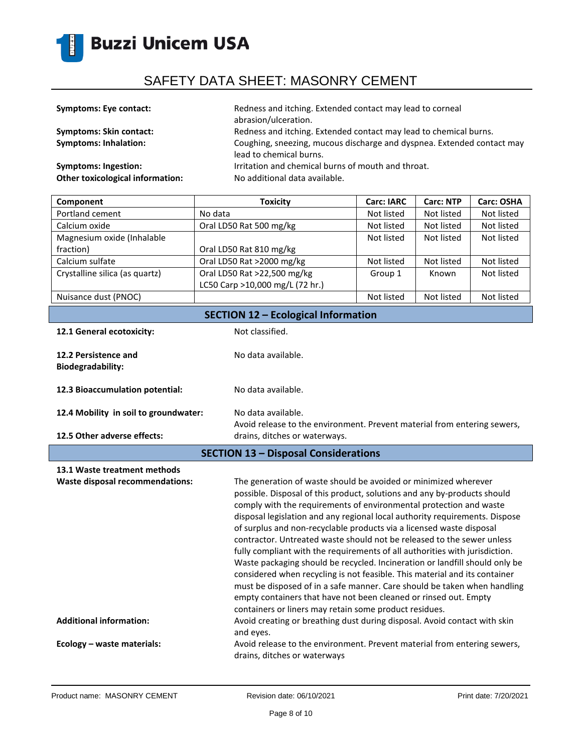

| <b>Symptoms: Eye contact:</b>           | Redness and itching. Extended contact may lead to corneal<br>abrasion/ulceration.                 |
|-----------------------------------------|---------------------------------------------------------------------------------------------------|
| <b>Symptoms: Skin contact:</b>          | Redness and itching. Extended contact may lead to chemical burns.                                 |
| <b>Symptoms: Inhalation:</b>            | Coughing, sneezing, mucous discharge and dyspnea. Extended contact may<br>lead to chemical burns. |
| <b>Symptoms: Ingestion:</b>             | Irritation and chemical burns of mouth and throat.                                                |
| <b>Other toxicological information:</b> | No additional data available.                                                                     |

| Component                                  | <b>Toxicity</b>                 | <b>Carc: IARC</b> | <b>Carc: NTP</b> | Carc: OSHA |
|--------------------------------------------|---------------------------------|-------------------|------------------|------------|
| Portland cement                            | No data                         | Not listed        | Not listed       | Not listed |
| Calcium oxide                              | Oral LD50 Rat 500 mg/kg         | Not listed        | Not listed       | Not listed |
| Magnesium oxide (Inhalable                 |                                 | Not listed        | Not listed       | Not listed |
| fraction)                                  | Oral LD50 Rat 810 mg/kg         |                   |                  |            |
| Calcium sulfate                            | Oral LD50 Rat >2000 mg/kg       | Not listed        | Not listed       | Not listed |
| Crystalline silica (as quartz)             | Oral LD50 Rat >22,500 mg/kg     | Group 1           | Known            | Not listed |
|                                            | LC50 Carp >10,000 mg/L (72 hr.) |                   |                  |            |
| Nuisance dust (PNOC)                       |                                 | Not listed        | Not listed       | Not listed |
| <b>SECTION 12 - Ecological Information</b> |                                 |                   |                  |            |

12.1 General ecotoxicity: Not classified.

No data available.

- 
- **12.2 Persistence and Biodegradability:**
- **12.3 Bioaccumulation potential:** No data available.
- **12.4 Mobility in soil to groundwater:** No data available.
- **12.5 Other adverse effects:**
- Avoid release to the environment. Prevent material from entering sewers, drains, ditches or waterways.
- **SECTION 13 – Disposal Considerations**

| 13.1 Waste treatment methods           |                                                                                                                                                                                                                                                                                                                                                                                                                                                                                                                                                                                                                                                                                                                                                                                                                                                                                                          |
|----------------------------------------|----------------------------------------------------------------------------------------------------------------------------------------------------------------------------------------------------------------------------------------------------------------------------------------------------------------------------------------------------------------------------------------------------------------------------------------------------------------------------------------------------------------------------------------------------------------------------------------------------------------------------------------------------------------------------------------------------------------------------------------------------------------------------------------------------------------------------------------------------------------------------------------------------------|
| <b>Waste disposal recommendations:</b> | The generation of waste should be avoided or minimized wherever<br>possible. Disposal of this product, solutions and any by-products should<br>comply with the requirements of environmental protection and waste<br>disposal legislation and any regional local authority requirements. Dispose<br>of surplus and non-recyclable products via a licensed waste disposal<br>contractor. Untreated waste should not be released to the sewer unless<br>fully compliant with the requirements of all authorities with jurisdiction.<br>Waste packaging should be recycled. Incineration or landfill should only be<br>considered when recycling is not feasible. This material and its container<br>must be disposed of in a safe manner. Care should be taken when handling<br>empty containers that have not been cleaned or rinsed out. Empty<br>containers or liners may retain some product residues. |
| <b>Additional information:</b>         | Avoid creating or breathing dust during disposal. Avoid contact with skin<br>and eyes.                                                                                                                                                                                                                                                                                                                                                                                                                                                                                                                                                                                                                                                                                                                                                                                                                   |
| Ecology - waste materials:             | Avoid release to the environment. Prevent material from entering sewers,<br>drains, ditches or waterways                                                                                                                                                                                                                                                                                                                                                                                                                                                                                                                                                                                                                                                                                                                                                                                                 |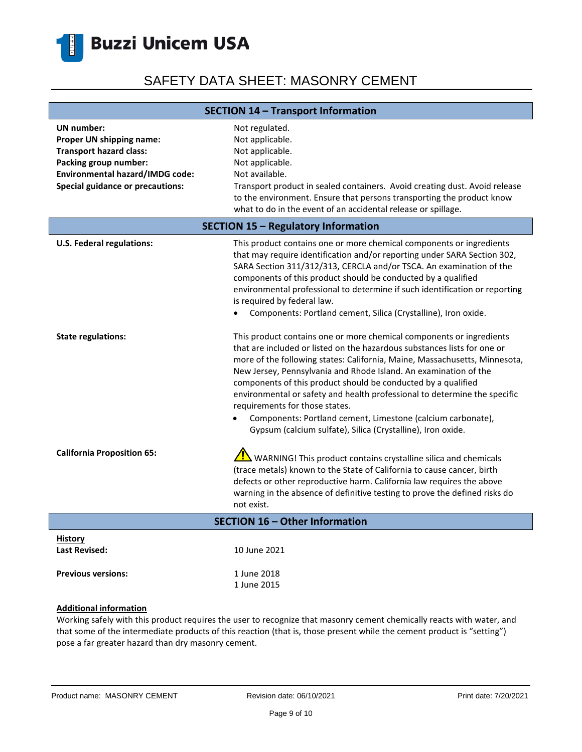

| <b>SECTION 14 - Transport Information</b>                                                                                                                                              |                                                                                                                                                                                                                                                                                                                                                                                                                                                                                                                                                                                                                  |  |
|----------------------------------------------------------------------------------------------------------------------------------------------------------------------------------------|------------------------------------------------------------------------------------------------------------------------------------------------------------------------------------------------------------------------------------------------------------------------------------------------------------------------------------------------------------------------------------------------------------------------------------------------------------------------------------------------------------------------------------------------------------------------------------------------------------------|--|
| <b>UN</b> number:<br>Proper UN shipping name:<br><b>Transport hazard class:</b><br>Packing group number:<br>Environmental hazard/IMDG code:<br><b>Special guidance or precautions:</b> | Not regulated.<br>Not applicable.<br>Not applicable.<br>Not applicable.<br>Not available.<br>Transport product in sealed containers. Avoid creating dust. Avoid release<br>to the environment. Ensure that persons transporting the product know<br>what to do in the event of an accidental release or spillage.                                                                                                                                                                                                                                                                                                |  |
| <b>SECTION 15 - Regulatory Information</b>                                                                                                                                             |                                                                                                                                                                                                                                                                                                                                                                                                                                                                                                                                                                                                                  |  |
| U.S. Federal regulations:                                                                                                                                                              | This product contains one or more chemical components or ingredients<br>that may require identification and/or reporting under SARA Section 302,<br>SARA Section 311/312/313, CERCLA and/or TSCA. An examination of the<br>components of this product should be conducted by a qualified<br>environmental professional to determine if such identification or reporting<br>is required by federal law.<br>Components: Portland cement, Silica (Crystalline), Iron oxide.                                                                                                                                         |  |
| <b>State regulations:</b>                                                                                                                                                              | This product contains one or more chemical components or ingredients<br>that are included or listed on the hazardous substances lists for one or<br>more of the following states: California, Maine, Massachusetts, Minnesota,<br>New Jersey, Pennsylvania and Rhode Island. An examination of the<br>components of this product should be conducted by a qualified<br>environmental or safety and health professional to determine the specific<br>requirements for those states.<br>Components: Portland cement, Limestone (calcium carbonate),<br>Gypsum (calcium sulfate), Silica (Crystalline), Iron oxide. |  |
| <b>California Proposition 65:</b>                                                                                                                                                      | $\sqrt{!}$ WARNING! This product contains crystalline silica and chemicals<br>(trace metals) known to the State of California to cause cancer, birth<br>defects or other reproductive harm. California law requires the above<br>warning in the absence of definitive testing to prove the defined risks do<br>not exist.                                                                                                                                                                                                                                                                                        |  |
| <b>SECTION 16 - Other Information</b>                                                                                                                                                  |                                                                                                                                                                                                                                                                                                                                                                                                                                                                                                                                                                                                                  |  |
| <b>History</b><br><b>Last Revised:</b>                                                                                                                                                 | 10 June 2021                                                                                                                                                                                                                                                                                                                                                                                                                                                                                                                                                                                                     |  |
| <b>Previous versions:</b>                                                                                                                                                              | 1 June 2018<br>1 June 2015                                                                                                                                                                                                                                                                                                                                                                                                                                                                                                                                                                                       |  |

#### **Additional information**

Working safely with this product requires the user to recognize that masonry cement chemically reacts with water, and that some of the intermediate products of this reaction (that is, those present while the cement product is "setting") pose a far greater hazard than dry masonry cement.